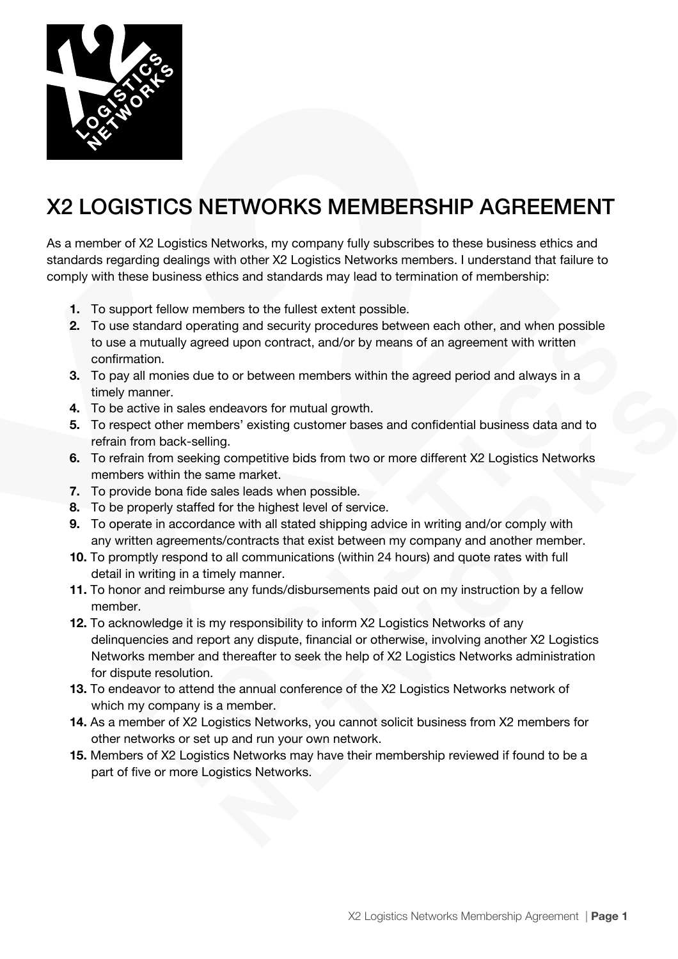

## X2 LOGISTICS NETWORKS MEMBERSHIP AGREEMENT

As a member of X2 Logistics Networks, my company fully subscribes to these business ethics and standards regarding dealings with other X2 Logistics Networks members. I understand that failure to comply with these business ethics and standards may lead to termination of membership:

- **1.** To support fellow members to the fullest extent possible.
- **2.** To use standard operating and security procedures between each other, and when possible to use a mutually agreed upon contract, and/or by means of an agreement with written confirmation.
- **3.** To pay all monies due to or between members within the agreed period and always in a timely manner.
- **4.** To be active in sales endeavors for mutual growth.
- **5.** To respect other members' existing customer bases and confidential business data and to refrain from back-selling.
- **6.** To refrain from seeking competitive bids from two or more different X2 Logistics Networks members within the same market.
- **7.** To provide bona fide sales leads when possible.
- **8.** To be properly staffed for the highest level of service.
- **9.** To operate in accordance with all stated shipping advice in writing and/or comply with any written agreements/contracts that exist between my company and another member.
- **10.** To promptly respond to all communications (within 24 hours) and quote rates with full detail in writing in a timely manner.
- **11.** To honor and reimburse any funds/disbursements paid out on my instruction by a fellow member.
- **12.** To acknowledge it is my responsibility to inform X2 Logistics Networks of any delinquencies and report any dispute, financial or otherwise, involving another X2 Logistics Networks member and thereafter to seek the help of X2 Logistics Networks administration for dispute resolution.
- **13.** To endeavor to attend the annual conference of the X2 Logistics Networks network of which my company is a member.
- **14.** As a member of X2 Logistics Networks, you cannot solicit business from X2 members for other networks or set up and run your own network.
- **15.** Members of X2 Logistics Networks may have their membership reviewed if found to be a part of five or more Logistics Networks.